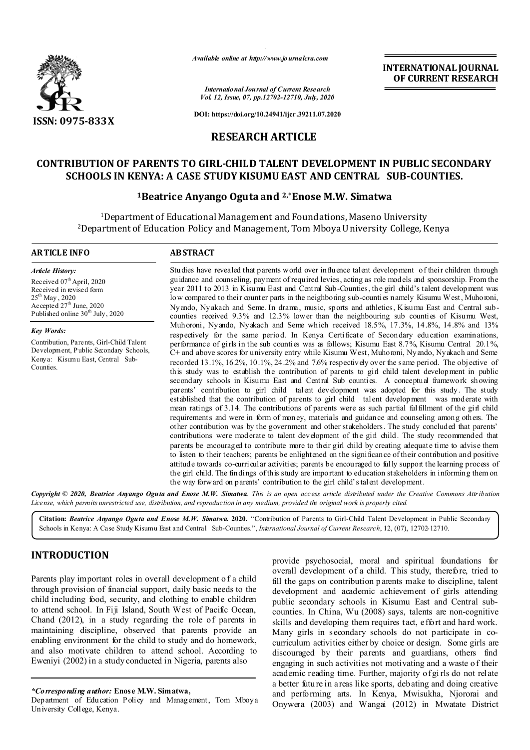

*Available online at http://www.journalcra.com*

*International Journal of Current Research Vol. 12, Issue, 07, pp.12702-12710, July, 2020*

**DOI: https://doi.org/10.24941/ijcr.39211.07.2020**

# **RESEARCH ARTICLE**

# **CONTRIBUTION OF PARENTS TO GIRL-CHILD TALENT DEVELOPMENT IN PUBLIC SECONDARY SCHOOLS IN KENYA: A CASE STUDY KISUMU EAST AND CENTRAL SUB-COUNTIES.**

## **1Beatrice Anyango Oguta and 2,\*Enose M.W. Simatwa**

1Department of Educational Management and Foundations, Maseno University 2Department of Education Policy and Management, Tom Mboya University College, Kenya

#### **ARTICLE INFO ABSTRACT**

*Article History:* Received 07<sup>th</sup> April, 2020 Received in revised form  $25^{th}$  May, 2020 Accepted  $27<sup>th</sup>$  June, 2020 Published online 30<sup>th</sup> July, 2020

*Key Words:* Contribution, Parents, Girl-Child Talent Development, Public Secondary Schools, Kenya: Kisumu East, Central Sub-Counties.

Studies have revealed that parents world over influence talent development of their children through guidance and counseling, payment of required levies, acting as role models and sponsorship. From the year 2011 to 2013 in Kisumu East and Central Sub-Counties, the girl child's talent development was low compared to their counter parts in the neighboring sub-counties namely Kisumu West, Muhoroni, Nyando, Nyakach and Seme. In drama, music, sports and athletics, Kisumu East and Central subcounties received 9.3% and 12.3% lower than the neighbouring sub counties of Kisumu West, Muhoroni, Nyando, Nyakach and Seme which received 18.5%, 17.3%, 14.8%, 14.8% and 13% respectively for the same period. In Kenya Certificate of Secondary education examinations, performance of girls in the sub counties was as follows; Kisumu East 8.7%, Kisumu Central 20.1%, C+ and above scores for university entry while Kisumu West, Muhoroni, Nyando, Nyakach and Seme recorded 13.1%, 16.2%, 10.1%, 24.2% and 7.6% respectively over the same period. The objective of this study was to establish the contribution of parents to girl child talent development in public secondary schools in Kisumu East and Central Sub counties. A conceptual framework showing parents' contribution to girl child talent development was adopted for this study. The study established that the contribution of parents to girl child talent development was moderate with mean ratings of 3.14. The contributions of parents were as such partial fulfillment of the girl child requirements and were in form of money, materials and guidance and counseling among others. The other contribution was by the government and other stakeholders. The study concluded that parents' contributions were moderate to talent development of the girl child. The study recommended that parents be encouraged to contribute more to their girl child by creating adequate time to advise them to listen to their teachers; parents be enlightened on the significance of their contribution and positive attitude towards co-curricular activities; parents be encouraged to fully support the learning process of the girl child. The findings of this study are important to education stakeholders in informing them on the way forward on parents' contribution to the girl child's talent development.

**INTERNATIONAL JOURNAL OF CURRENT RESEARCH**

Copyright © 2020, Beatrice Anyango Oguta and Enose M.W. Simatwa. This is an open access article distributed under the Creative Commons Attribution License, which permits unrestricted use, distribution, and reproduction in any medium, provided the original work is properly cited.

**Citation:** *Beatrice Anyango Oguta and Enose M.W. Simatwa.* **2020.** "Contribution of Parents to Girl-Child Talent Development in Public Secondary Schools in Kenya: A Case Study Kisumu East and Central Sub-Counties.", *International Journal of Current Research*, 12, (07), 12702-12710.

# **INTRODUCTION**

Parents play important roles in overall development o f a child through provision of financial support, daily basic needs to the child including food, security, and clothing to enable children to attend school. In Fiji Island, South West of Pacific Ocean, Chand (2012), in a study regarding the role of parents in maintaining discipline, observed that parents provide an enabling environment for the child to study and do homework, and also motivate children to attend school. According to Eweniyi (2002) in a study conducted in Nigeria, parents also

*\*Corresponding author:* **Enose M.W. Simatwa,**

Department of Education Policy and Management, Tom Mboya University College, Kenya.

provide psychosocial, moral and spiritual foundations for overall development of a child. This study, therefore, tried to fill the gaps on contribution p arents make to discipline, talent development and academic achievement of girls attending public secondary schools in Kisumu East and Central subcounties. In China, Wu (2008) says, talents are non-cognitive skills and developing them requires tact, effort and hard work. Many girls in secondary schools do not participate in cocurriculum activities either by choice or design. Some girls are discouraged by their parents and guardians, others find engaging in such activities not motivating and a waste o f their academic reading time. Further, majority of gi rls do not relate a better future in areas like sports, debating and doing creative and performing arts. In Kenya, Mwisukha, Njororai and Onywera (2003) and Wangai (2012) in Mwatate District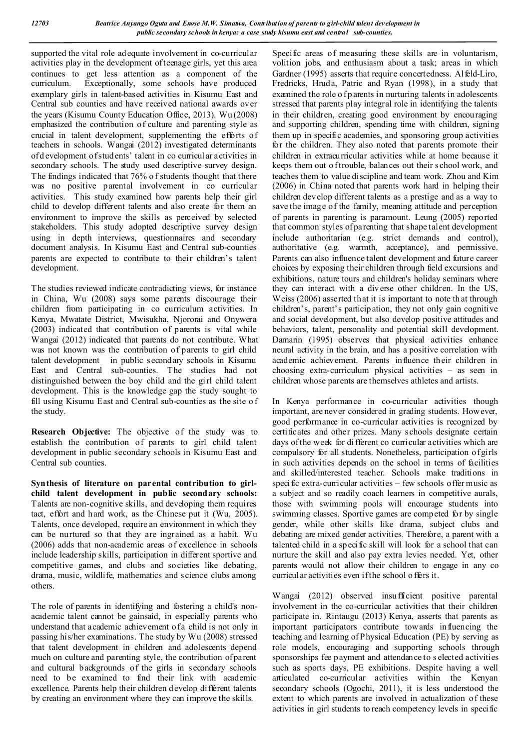supported the vital role adequate involvement in co-curricular activities play in the development of teenage girls, yet this area continues to get less attention as a component of the curriculum. Exceptionally, some schools have produced exemplary girls in talent-based activities in Kisumu East and Central sub counties and have received national awards over the years (Kisumu County Education Office, 2013). Wu (2008) emphasized the contribution of culture and parenting style as crucial in talent development, supplementing the efforts of teachers in schools. Wangai (2012) investigated determinants of d evelopment of students' talent in co curricular activities in secondary schools. The study used descriptive survey design. The findings indicated that 76% o f students thought that there was no positive parental involvement in co curricular activities. This study examined how parents help their girl child to develop different talents and also create for them an environment to improve the skills as perceived by selected stakeholders. This study adopted descriptive survey design using in depth interviews, questionnaires and secondary document analysis. In Kisumu East and Central sub-counties parents are expected to contribute to their children's talent development.

The studies reviewed indicate contradicting views, for instance in China, Wu (2008) says some parents discourage their children from participating in co curriculum activities. In Kenya, Mwatate District, Mwisukha, Njororai and Onywera (2003) indicated that contribution of parents is vital while Wangai (2012) indicated that parents do not contribute. What was not known was the contribution of parents to girl child talent development in public secondary schools in Kisumu East and Central sub-counties. The studies had not distinguished between the boy child and the girl child talent development. This is the knowledge gap the study sought to fill using Kisumu East and Central sub-counties as the site o f the study.

**Research Objective:** The objective of the study was to establish the contribution of parents to girl child talent development in public secondary schools in Kisumu East and Central sub counties.

**Synthesis of literature on parental contribution to girlchild talent development in public secondary schools:**  Talents are non-cognitive skills, and developing them requires tact, effort and hard work, as the Chinese put it (Wu, 2005). Talents, once developed, require an environment in which they can be nurtured so that they are ingrained as a habit. Wu (2006) adds that non-academic areas of excellence in schools include leadership skills, participation in different sportive and competitive games, and clubs and societies like debating, drama, music, wildlife, mathematics and science clubs among others.

The role of parents in identifying and fostering a child's nonacademic talent cannot be gainsaid, in especially parents who understand that academic achievement of a child is not only in passing his/her examinations. The study by Wu (2008) stressed that talent development in children and adolescents depend much on culture and parenting style, the contribution of parent and cultural backgrounds of the girls in secondary schools need to be examined to find their link with academic excellence. Parents help their children develop different talents by creating an environment where they can improve the skills.

Specific areas of measuring these skills are in voluntarism, volition jobs, and enthusiasm about a task; areas in which Gardner (1995) asserts that require concertedness. Alfeld-Liro, Fredricks, Hruda, Patric and Ryan (1998), in a study that examined the role o fp arents in nurturing talents in adolescents stressed that parents play integral role in identifying the talents in their children, creating good environment by encouraging and supporting children, spending time with children, signing them up in specific academies, and sponsoring group activities for the children. They also noted that parents promote their children in extracurricular activities while at home because it keeps them out o f trouble, balances out their s chool work, and teaches them to value discipline and team work. Zhou and Kim (2006) in China noted that parents work hard in helping their children develop different talents as a prestige and as a way to save the image of the family, meaning attitude and perception of parents in parenting is paramount. Leung (2005) reported that common styles of parenting that shape talent development include authoritarian (e.g. strict demands and control), authoritative (e.g. warmth, acceptance), and permissive. Parents can also influence talent development and future career choices by exposing their children through field excursions and exhibitions, nature tours and children's holiday seminars where they can interact with a diverse other children. In the US, Weiss (2006) asserted that it is important to note th at through children's, parent's participation, they not only gain cognitive and social development, but also develop positive attitudes and behaviors, talent, personality and potential skill development. Damarin (1995) observes that physical activities enhance neural activity in the brain, and has a positive correlation with academic achievement. Parents influence their children in choosing extra-curriculum physical activities – as seen in children whose parents are themselves athletes and artists.

In Kenya performance in co-curricular activities though important, are never considered in grading students. However, good performance in co-curricular activities is recognized by certificates and other prizes. Many schools designate certain days of the week for di fferent co curricular activities which are compulsory for all students. Nonetheless, participation of girls in such activities depends on the school in terms of facilities and skilled/interested teacher. Schools make traditions in specific extra-curricular activities  $-$  few schools offer music as a subject and so readily coach learners in competitive aurals, those with swimming pools will encourage students into swimming classes. Sportive games are competed for by single gender, while other skills like drama, subject clubs and debating are mixed gender activities. Therefore, a parent with a talented child in a specific skill will look for a school that can nurture the skill and also pay extra levies needed. Yet, other parents would not allow their children to engage in any co curricular activities even if the school o ffers it.

Wangai (2012) observed insu fficient positive parental involvement in the co-curricular activities that their children participate in. Rintaugu (2013) Kenya, asserts that parents as important participators contribute towards influencing the teaching and learning of Physical Education (PE) by serving as role models, encouraging and supporting schools through sponsorships fee payment and attendance to s elected activities such as sports days, PE exhibitions. Despite having a well articulated co-curricular activities within the Kenyan secondary schools (Ogochi, 2011), it is less understood the extent to which parents are involved in actualization of these activities in girl students to reach competency levels in specific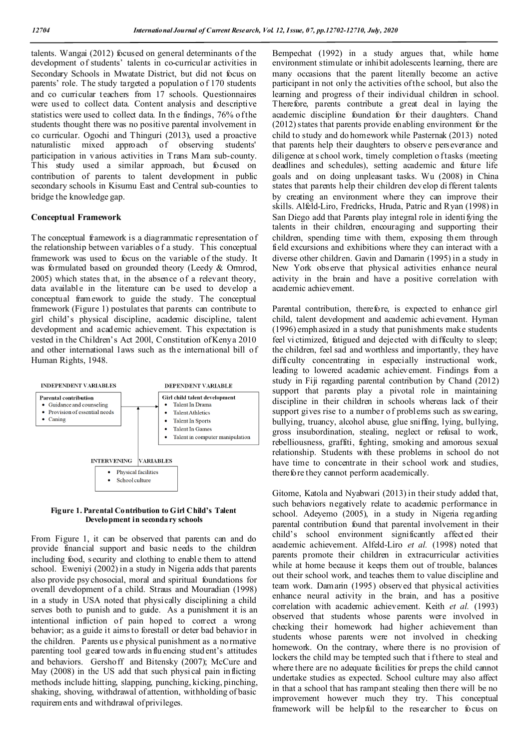talents. Wangai (2012) focused on general determinants of the development of students' talents in co-curricular activities in Secondary Schools in Mwatate District, but did not focus on parents' role. The study targeted a population o f 170 students and co curricular teachers from 17 schools. Questionnaires were used to collect data. Content analysis and descriptive statistics were used to collect data. In the findings, 76% of the students thought there was no positive parental involvement in co curricular. Ogochi and Thinguri (2013), used a proactive naturalistic mixed approach of observing students' participation in various activities in Trans Mara sub-county. This study used a similar approach, but focused on contribution of parents to talent development in public secondary schools in Kisumu East and Central sub-counties to bridge the knowledge gap.

## **Conceptual Framework**

The conceptual framework is a diagrammatic representation of the relationship between variables o f a study.This conceptual framework was used to focus on the variable of the study. It was formulated based on grounded theory (Leedy & Ormrod, 2005) which states that, in the absence of a relevant theory, data available in the literature can be used to develop a conceptual framework to guide the study. The conceptual framework (Figure 1) postulates that parents can contribute to girl child's physical discipline, academic discipline, talent development and academic achievement. This expectation is vested in the Children's Act 200l, Constitution of Kenya 2010 and other international laws such as the international bill of Human Rights, 1948.



#### **Figure 1. Parental Contribution to Girl Child's Talent Development in secondary schools**

From Figure 1, it can be observed that parents can and do provide financial support and basic needs to the children including food, security and clothing to enable them to attend school. Eweniyi (2002) in a study in Nigeria adds that parents also provide psy chosocial, moral and spiritual foundations for overall development of a child. Straus and Mouradian (1998) in a study in USA noted that physi cally disciplining a child serves both to punish and to guide. As a punishment it is an intentional infliction of pain hoped to correct a wrong behavior; as a guide it aims to forestall or deter bad behavior in the children. Parents us e physical punishment as a normative parenting tool geared towards influencing stud ent's attitudes and behaviors. Gershoff and Bitensky (2007); McCure and May (2008) in the US add that such physical pain inflicting methods include hitting, slapping, punching, kicking, pinching, shaking, shoving, withdrawal of attention, withholding of basic requirements and withdrawal of privileges.

Bempechat (1992) in a study argues that, while home environment stimulate or inhibit adolescents learning, there are many occasions that the parent literally become an active participant in not only the activities of the school, but also the learning and progress of their individual children in school. Therefore, parents contribute a great deal in laying the academic discipline foundation for their daughters. Chand (2012) states that parents provide enabling environment for the child to study and do homework while Pasternak (2013) noted that parents help their daughters to observe perseverance and diligence at s chool work, timely completion o f tasks (meeting) deadlines and schedules), setting academic and future life goals and on doing unpleasant tasks. Wu (2008) in China states that parents help their children develop di fferent talents by creating an environment where they can improve their skills. Alfeld-Liro, Fredricks, Hruda, Patric and Ryan (1998) in San Diego add that Parents play integral role in identifying the talents in their children, encouraging and supporting their children, spending time with them, exposing them through field excursions and exhibitions where they can interact with a diverse other children. Gavin and Damarin (1995) in a study in New York observe that physical activities enhance neural activity in the brain and have a positive correlation with academic achievement.

Parental contribution, therefore, is expected to enhance girl child, talent development and academic achievement. Hyman (1996) emph asized in a study that punishments make students feel vi ctimized, fatigued and dejected with difficulty to sleep; the children, feel sad and worthless and importantly, they have difficulty concentrating in especially instructional work, leading to lowered academic achievement. Findings from a study in Fiji regarding parental contribution by Chand (2012) support that parents play a pivotal role in maintaining discipline in their children in schools whereas lack of their support gives rise to a number of problems such as swearing, bullying, truancy, alcohol abuse, glue sniffing, lying, bullying, gross insubordination, stealing, neglect or refusal to work, rebelliousness, graffiti, fighting, smoking and amorous sexual relationship. Students with these problems in school do not have time to concentrate in their school work and studies, therefore they cannot perform academically.

Gitome, Katola and Nyabwari (2013) in their study added that, such behaviors negatively relate to academic performance in school. Adeyemo (2005), in a study in Nigeria regarding parental contribution found that parental involvement in their child's school environment significantly affected their academic achievement. Alfeld-Liro *et al.* (1998) noted that parents promote their children in extracurricular activities while at home because it keeps them out of trouble, balances out their school work, and teaches them to value discipline and team work. Damarin (1995) observed that physical activities enhance neural activity in the brain, and has a positive correlation with academic achievement. Keith *et al.* (1993) observed that students whose parents were involved in checking their homework had higher achievement than students whose parents were not involved in checking homework. On the contrary, where there is no provision of lockers the child may be tempted such that i f there to steal and where there are no adequate facilities for preps the child cannot undertake studies as expected. School culture may also affect in that a school that has rampant stealing then there will be no improvement however much they try. This conceptual framework will be helpful to the researcher to focus on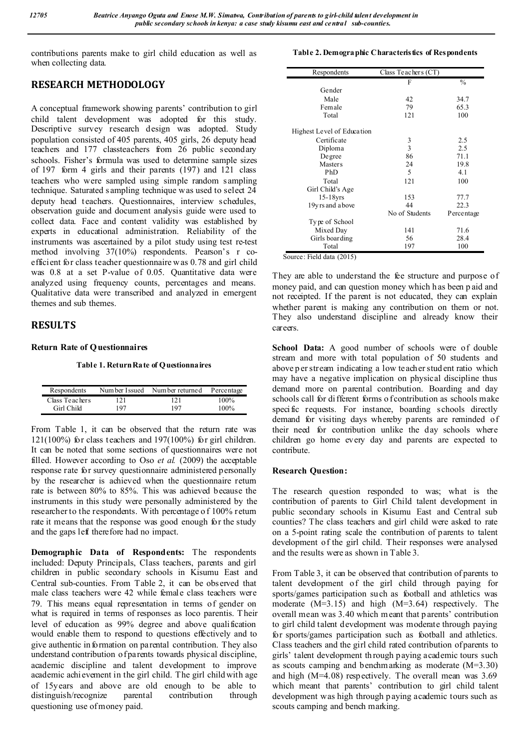contributions parents make to girl child education as well as when collecting data.

# **RESEARCH METHODOLOGY**

A conceptual framework showing parents' contribution to girl child talent development was adopted for this study. Descriptive survey research design was adopted. Study population consisted of 405 parents, 405 girls, 26 deputy head teachers and 177 classteachers from 26 public secondary schools. Fisher's formula was used to determine sample sizes of 197 form 4 girls and their parents (197) and 121 class teachers who were sampled using simple random sampling technique. Saturated s ampling technique was used to select 24 deputy head teachers. Questionnaires, interview schedules, observation guide and document analysis guide were used to collect data. Face and content validity was established by experts in educational administration. Reliability of the instruments was ascertained by a pilot study using test re-test method involving 37(10%) respondents. Pearson's r coefficient for class teacher questionnaire w as 0.78 and girl child was 0.8 at a set P-value of 0.05. Quantitative data were analyzed using frequency counts, percentages and means. Qualitative data were transcribed and analyzed in emergent themes and sub themes.

## **RESULTS**

## **Return Rate of Questionnaires**

**Table 1. Return Rate of Questionnaires**

| Respondents    | Number Issued | Num ber returned | Percentage |
|----------------|---------------|------------------|------------|
| Class Teachers | 121           | 121              | 100%       |
| Girl Child     | 197           | 197              | 100%       |

From Table 1, it can be observed that the return rate was  $121(100\%)$  for class teachers and  $197(100\%)$  for girl children. It can be noted that some sections of questionnaires were not filled. However according to Oso *et al.* (2009) the acceptable response rate for survey questionnaire administered personally by the researcher is achieved when the questionnaire return rate is between 80% to 85%. This was achieved because the instruments in this study were personally administered by the researcher to the respondents. With percentage o f 100% return rate it means that the response was good enough for the study and the gaps left therefore had no impact.

**Demographic Data of Respondents:** The respondents included: Deputy Principals, Class teachers, parents and girl children in public secondary schools in Kisumu East and Central sub-counties. From Table 2, it can be observed that male class teachers were 42 while female class teachers were 79. This means equal representation in terms of gender on what is required in terms of responses as loco parentis. T heir level of education as 99% degree and above qualification would enable them to respond to questions effectively and to give authentic in formation on parental contribution. They also understand contribution of parents towards physical discipline, academic discipline and talent development to improve academic achievement in the girl child. The girl child with age of 15years and above are old enough to be able to distinguish/recognize parental contribution through questioning use of money paid.

### **Table 2. Demographic Characteristics of Respondents**

| Respondents                | Class Teachers (CT) |               |
|----------------------------|---------------------|---------------|
|                            | F                   | $\frac{0}{0}$ |
| Gender                     |                     |               |
| Male                       | 42                  | 34.7          |
| Female                     | 79                  | 65.3          |
| Total                      | 121                 | 100           |
| Highest Level of Education |                     |               |
| Certificate                |                     | 2.5           |
| Diploma                    | $\frac{3}{3}$       | 2.5           |
| Degree                     | 86                  | 71.1          |
| <b>Masters</b>             | 24                  | 19.8          |
| PhD                        | 5                   | 4.1           |
| Total                      | 121                 | 100           |
| Girl Child's Age           |                     |               |
| $15-18$ yrs                | 153                 | 77.7          |
| 19yrs and a bove           | 44                  | 22.3          |
|                            | No of Students      | Percentage    |
| Type of School             |                     |               |
| Mixed Day                  | 141                 | 71.6          |
| Girls boarding             | 56                  | 28.4          |
| Total                      | 197                 | 100           |

They are able to understand the fee structure and purpose of money paid, and can question money which h as been p aid and not receipted. If the parent is not educated, they can explain whether parent is making any contribution on them or not. They also understand discipline and already know their careers.

School Data: A good number of schools were of double stream and more with total population of 50 students and above p er stream indicating a low teacher student ratio which may have a negative implication on physical discipline thus demand more on parental contribution. Boarding and day schools call for di fferent forms o f contribution as schools make specific requests. For instance, boarding schools directly demand for visiting days whereby parents are reminded of their need for contribution unlike the day schools where children go home every day and parents are expected to contribute.

## **Research Question:**

The research question responded to was; what is the contribution of parents to Girl Child talent development in public secondary schools in Kisumu East and Central sub counties? The class teachers and girl child were asked to rate on a 5-point rating scale the contribution of parents to talent development of the girl child. Their responses were analysed and the results were as shown in Table 3.

From Table 3, it can be observed that contribution of parents to talent development of the girl child through paying for sports/games participation such as football and athletics was moderate  $(M=3.15)$  and high  $(M=3.64)$  respectively. The overall mean was 3.40 which meant that p arents' contribution to girl child talent development was moderate through paying for sports/games participation such as football and athletics. Class teachers and the girl child rated contribution of parents to girls' talent development through paying academic tours such as scouts camping and benchmarking as moderate (M=3.30) and high (M=4.08) respectively. The overall mean was 3.69 which meant that parents' contribution to girl child talent development was high through p aying academic tours such as scouts camping and bench marking.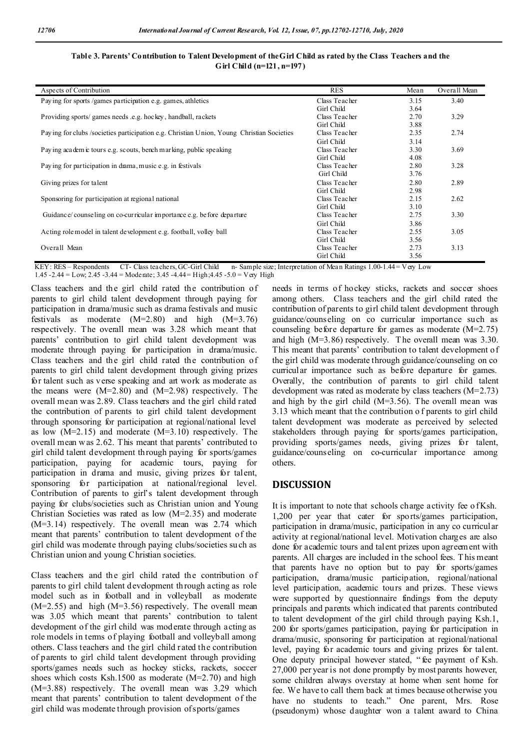| Aspects of Contribution                                                                   | <b>RES</b>    | Mean | Overall Mean |
|-------------------------------------------------------------------------------------------|---------------|------|--------------|
| Paying for sports /games participation e.g. games, athletics                              | Class Teacher | 3.15 | 3.40         |
|                                                                                           | Girl Child    | 3.64 |              |
| Providing sports/ games needs .e.g. hockey, handball, rackets                             | Class Teacher | 2.70 | 3.29         |
|                                                                                           | Girl Child    | 3.88 |              |
| Paying for clubs /societies participation e.g. Christian Union, Young Christian Societies | Class Teacher | 2.35 | 2.74         |
|                                                                                           | Girl Child    | 3.14 |              |
| Paying academ c tours e.g. scouts, benchmarking, public speaking                          | Class Teacher | 3.30 | 3.69         |
|                                                                                           | Girl Child    | 4.08 |              |
| Paying for participation in diama, music e.g. in festivals                                | Class Teacher | 2.80 | 3.28         |
|                                                                                           | Girl Child    | 3.76 |              |
| Giving prizes for talent                                                                  | Class Teacher | 2.80 | 2.89         |
|                                                                                           | Girl Child    | 2.98 |              |
| Sponsoring for participation at regional national                                         | Class Teacher | 2.15 | 2.62         |
|                                                                                           | Girl Child    | 3.10 |              |
| Guidance/counseling on co-curricular importance e.g. before departure                     | Class Teacher | 2.75 | 3.30         |
|                                                                                           | Girl Child    | 3.86 |              |
| Acting role model in talent development e.g. football, volley ball                        | Class Teacher | 2.55 | 3.05         |
|                                                                                           | Girl Child    | 3.56 |              |
| Overall Mean                                                                              | Class Teacher | 2.73 | 3.13         |
|                                                                                           | Girl Child    | 3.56 |              |

## **Table 3. Parents' Contribution to Talent Development of the Girl Child as rated by the Class Teachers and the Girl Child (n=121, n=197)**

KEY: RES – Respondents CT- Class teachers, GC-Girl Child n- Sample size; Interpretation of Mean Ratings 1.00-1.44 = Very Low

1.45 -2.44 = Low; 2.45 -3.44 = Moderate; 3.45 -4.44 = High; 4.45 -5.0 = Very High

Class teachers and the girl child rated the contribution of parents to girl child talent development through paying for participation in drama/music such as drama festivals and music festivals as moderate  $(M=2.80)$  and high  $(M=3.76)$ respectively. The overall mean was 3.28 which meant that parents' contribution to girl child talent development was moderate through paying for participation in drama/music. Class teachers and the girl child rated the contribution of parents to girl child talent development through giving prizes for talent such as verse speaking and art work as moderate as the means were (M=2.80) and (M=2.98) respectively. The overall mean was 2.89. Class teachers and the girl child rated the contribution of parents to girl child talent development through sponsoring for participation at regional/national level as low  $(M=2.15)$  and moderate  $(M=3.10)$  respectively. The overall mean w as 2.62. This meant that parents' contributed to girl child talent development through paying for sports/games participation, paying for academic tours, paying for participation in drama and music, giving prizes for talent, sponsoring for participation at national/regional level. Contribution of parents to girl's talent development through paying for clubs/societies such as Christian union and Young Christian Societies was rated as low (M=2.35) and moderate (M=3.14) respectively. The overall mean was 2.74 which meant that parents' contribution to talent development of the girl child was moderate through paying clubs/societies such as Christian union and young Christian societies.

Class teachers and the girl child rated the contribution of parents to girl child talent d evelopment through acting as role model such as in football and in volleyball as moderate  $(M=2.55)$  and high  $(M=3.56)$  respectively. The overall mean was 3.05 which meant that parents' contribution to talent development of the girl child was moderate through acting as role models in terms of playing football and volleyball among others. Class teachers and the girl child rated the contribution of parents to girl child talent development through providing sports/games needs such as hockey sticks, rackets, soccer shoes which costs Ksh.1500 as moderate (M=2.70) and high (M=3.88) respectively. The overall mean was 3.29 which meant that parents' contribution to talent development of the girl child was moderate through provision of sports/games

needs in terms of hockey sticks, rackets and soccer shoes among others. Class teachers and the girl child rated the contribution of parents to girl child talent development through guidance/counseling on co curricular importance such as counseling before departure for games as moderate (M=2.75) and high (M=3.86) respectively. T he overall mean was 3.30. This meant that parents' contribution to talent development o f the girl child was moderate through guidance/counseling on co curricular importance such as before departure for games. Overally, the contribution of parents to girl child talent development was rated as moderate by class teachers (M=2.73) and high by the girl child  $(M=3.56)$ . The overall mean was 3.13 which meant that the contribution o f parents to girl child talent development was moderate as perceived by selected stakeholders through paying for sports/games participation, providing sports/games needs, giving prizes for talent, guidance/counseling on co-curricular importance among others.

## **DISCUSSION**

It is important to note that schools charge activity fee of Ksh. 1,200 per year that cater for sports/games participation, participation in drama/music, participation in any co curricular activity at regional/national level. Motivation charges are also done for academic tours and talent prizes upon agreement with parents. All charges are included in the school fees. T his meant that parents have no option but to pay for sports/games participation, drama/music participation, regional/national level participation, academic tours and prizes. These views were supported by questionnaire findings from the deputy principals and parents which indicated that parents contributed to talent development of the girl child through paying Ksh.1, 200 for sports/games participation, paying for participation in drama/music, sponsoring for participation at regional/national level, paying for academic tours and giving prizes for talent. One deputy principal however stated, " fee payment of Ksh. 27,000 per year is not done promptly by most parents however, some children always overstay at home when sent home for fee. We have to call them back at times because otherwise you have no students to teach." One parent, Mrs. Rose (pseudonym) whose daughter won a talent award to China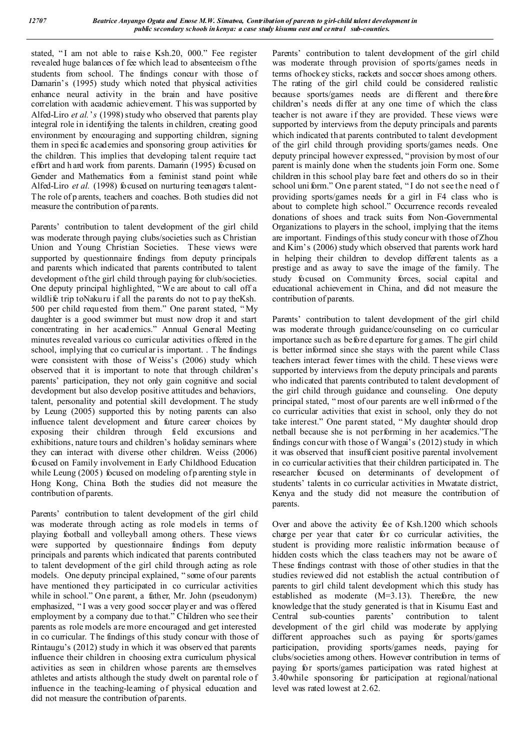stated, "I am not able to raise Ksh.20, 000." Fee register revealed huge balances of fee which lead to absenteeism of the students from school. The findings concur with those of Damarin's (1995) study which noted that physical activities enhance neural activity in the brain and have positive correlation with academic achievement. T his was supported by Alfed-Liro *et al.*'*s* (1998) study who observed that parents play integral role in identifying the talents in children, creating good environment by encouraging and supporting children, signing them in specific academies and sponsoring group activities for the children. This implies that developing talent require tact effort and h ard work from parents. Damarin (1995) focused on Gender and Mathematics from a feminist stand point while Alfed-Liro *et al.* (1998) focused on nurturing teenagers talent-The role of p arents, teachers and coaches. Both studies did not measure the contribution of parents.

Parents' contribution to talent development of the girl child was moderate through paying clubs/societies such as Christian Union and Young Christian Societies. These views were supported by questionnaire findings from deputy principals and parents which indicated that parents contributed to talent development of the girl child through paying for club/societies. One deputy principal highlighted, "We are about to call off a wildlife trip toNakuru if all the parents do not to p ay the Ksh. 500 per child requested from them." One parent stated, " My daughter is a good swimmer but must now drop it and start concentrating in her academics." Annual General Meeting minutes revealed various co curricular activities offered in the school, implying that co curricular is important. . T he findings were consistent with those of Weiss's (2006) study which observed that it is important to note that through children's parents' participation, they not only gain cognitive and social development but also develop positive attitudes and behaviors, talent, personality and potential skill development. T he study by Leung (2005) supported this by noting parents can also influence talent development and future career choices by exposing their children through field excursions and exhibitions, nature tours and children's holiday seminars where they can interact with diverse other children. Weiss (2006) focused on Family involvement in Early Childhood Education while Leung (2005) focused on modeling of p arenting style in Hong Kong, China. Both the studies did not measure the contribution of parents.

Parents' contribution to talent development of the girl child was moderate through acting as role models in terms of playing football and volleyball among others. These views were supported by questionnaire findings from deputy principals and parents which indicated that parents contributed to talent development of the girl child through acting as role models. One deputy principal explained, " some of our parents have mentioned they participated in co curricular activities while in school." One parent, a father, Mr. John (pseudonym) emphasized, " I was a very good soccer player and was offered employment by a company due to that." Children who see their parents as role models are more encouraged and get interested in co curricular. The findings of this study concur with those of Rintaugu's (2012) study in which it was observed that parents influence their children in choosing extra curriculum physical activities as seen in children whose parents are themselves athletes and artists although the study dwelt on parental role o f influence in the teaching-learning of physical education and did not measure the contribution of parents.

Parents' contribution to talent development of the girl child was moderate through provision of sports/games needs in terms of hockey sticks, rackets and soccer shoes among others. The rating of the girl child could be considered realistic because sports/games needs are different and therefore children's needs differ at any one time of which the class teacher is not aware if they are provided. These views were supported by interviews from the deputy principals and parents which indicated that parents contributed to talent development of the girl child through providing sports/games needs. One deputy principal however expressed, "provision by most of our parent is mainly done when the students join Form one. Some children in this school play bare feet and others do so in their school uni form." One parent stated, " I do not see the need o f providing sports/games needs for a girl in F4 class who is about to complete high school." Occurrence records revealed donations of shoes and track suits from Non-Governmental Organizations to players in the school, implying that the items are important. Findings of this study concur with those of Zhou and Kim's (2006) study which observed that parents work hard in helping their children to develop different talents as a prestige and as away to save the image of the family. The study focused on Community forces, social capital and educational achievement in China, and did not measure the contribution of parents.

Parents' contribution to talent development of the girl child was moderate through guidance/counseling on co curricular importance such as before d eparture for g ames. T he girl child is better informed since she stays with the parent while Class teachers interact fewer times with the child. T hese views were supported by interviews from the deputy principals and parents who indicated that parents contributed to talent development of the girl child through guidance and counseling. One deputy principal stated, " most of our parents are well informed o f the co curricular activities that exist in school, only they do not take interest." One parent stated, " My daughter should drop netball because she is not performing in her academics."The findings concur with those of Wangai's (2012) study in which it was observed that insufficient positive parental involvement in co curricular activities that their children participated in. The researcher focused on determinants of development of students' talents in co curricular activities in Mwatate district, Kenya and the study did not measure the contribution of parents.

Over and above the activity fee of Ksh.1200 which schools charge per year that cater for co curricular activities, the student is providing more realistic information because of hidden costs which the class teachers may not be aware of. These findings contrast with those of other studies in that the studies reviewed did not establish the actual contribution of parents to girl child talent development which this study has established as moderate (M=3.13). Therefore, the new knowledge that the study generated is that in Kisumu East and Central sub-counties parents' contribution to talent development of the girl child was moderate by applying different approaches such as paying for sports/games participation, providing sports/games needs, paying for clubs/societies among others. However contribution in terms of paying for sports/games participation was rated highest at 3.40while sponsoring for participation at regional/national level was rated lowest at 2.62.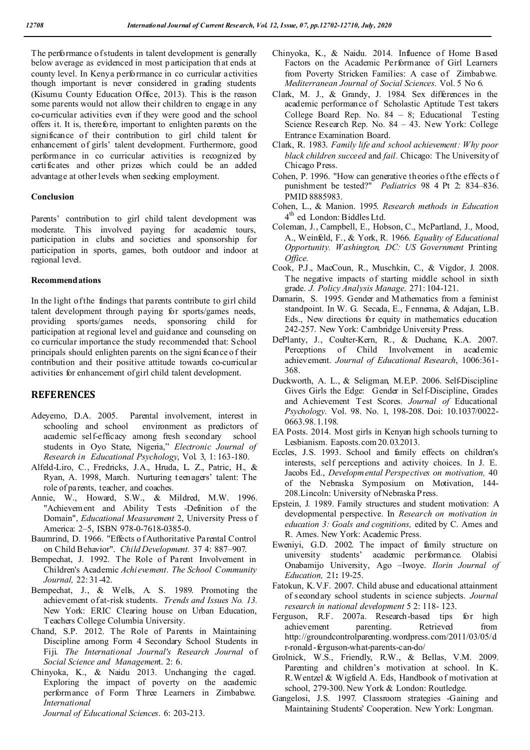The performance of students in talent development is generally below average as evidenced in most p articipation that ends at county level. In Kenya performance in co curricular activities though important is never considered in grading students (Kisumu County Education Office, 2013). This is the reason some parents would not allow their children to engage in any co-curricular activities even if they were good and the school offers it. It is, therefore, important to enlighten parents on the significance of their contribution to girl child talent for enhancement of girls' talent development. Furthermore, good performance in co curricular activities is recognized by certificates and other prizes which could be an added advantage at other levels when seeking employment.

#### **Conclusion**

Parents' contribution to girl child talent development was moderate. This involved paying for academic tours, participation in clubs and societies and sponsorship for participation in sports, games, both outdoor and indoor at regional level.

### **Recommendations**

In the light of the findings that parents contribute to girl child talent development through paying for sports/games needs, providing sports/games needs, sponsoring child for participation at regional level and guidance and counseling on co curricular importance the study recommended that: School principals should enlighten parents on the signi ficance o f their contribution and their positive attitude towards co-curricular activities for enhancement of girl child talent development.

## **REFERENCES**

- Adeyemo, D.A. 2005. Parental involvement, interest in schooling and school environment as predictors of academic self-efficacy among fresh secondary school students in Oyo State, Nigeria," *Electronic Journal of Research in Educational Psychology*, Vol. 3, 1: 163-180.
- Alfeld-Liro, C., Fredricks, J.A., Hruda, L. Z., Patric, H., & Ryan, A. 1998, March. Nurturing teenagers' talent: The role of parents, teacher, and coaches.
- Annie, W., Howard, S.W., & Mildred, M.W. 1996. "Achievement and Ability Tests -Definition of the Domain", *Educational Measurement* 2, University Press o f America: 2–5, ISBN 978-0-7618-0385-0.
- Baumrind, D. 1966. "Effects o f Authoritative Parental Control on Child Behavior". *Child Development.* 37 4: 887–907.
- Bempechat, J. 1992. The Role of Parent Involvement in Children's Academic *Achievement*. *The School Community Journal,* 22: 31-42.
- Bempechat, J., & Wells, A. S. 1989. Promoting the achievement of at-risk students. *Trends and Issues No. 13.*  New York: ERIC Clearing house on Urban Education, Teachers College Columbia University.
- Chand, S.P. 2012. The Role of Parents in Maintaining Discipline among Form 4 Secondary School Students in Fiji. *The International Journal's Research Journal* of *Social Science and Managemen*t. 2: 6.
- Chinyoka, K., & Naidu 2013. Unchanging the caged. Exploring the impact of poverty on the academic performance of Form Three Learners in Zimbabwe. *International*

*Journal of Educational Sciences*. 6: 203-213.

- Chinyoka, K., & Naidu. 2014. Influence of Home B ased Factors on the Academic Performance of Girl Learners from Poverty Stricken Families: A case of Zimbabwe. *Mediterranean Journal of Social Sciences*. Vol. 5 No 6.
- Clark, M. J., & Grandy, J. 1984. Sex differences in the academic performance of Scholastic Aptitude Test takers College Board Rep. No. 84 – 8; Educational Testing Science Research Rep. No. 84 – 43. New York: College Entrance Examination Board.
- Clark, R. 1983. *Family life and school achievement: Why poor black children succeed* and *fail.* Chicago: The University of Chicago Press.
- Cohen, P. 1996. "How can generative theories o f the effects o f punishment be tested?" *Pediatrics* 98 4 Pt 2: 834–836. PMID 8885983.
- Cohen, L., & Manion. 1995. *Research methods in Education* 4 th ed. London: Biddles Ltd.
- Coleman, J., Campbell, E., Hobson, C., McPartland, J., Mood, A., Weinfeld, F., & York, R. 1966. *Equality of Educational Opportunity. Washington, DC: US Government* Printing *Office.*
- Cook, P.J., MacCoun, R., Muschkin, C., & Vigdor, J. 2008. The negative impacts of starting middle school in sixth grade. *J. Policy Analysis Manage*. 271: 104-121.
- Damarin, S. 1995. Gender and Mathematics from a feminist standpoint. In W. G. Secada, E., Fennema, & Adajan, L.B. Eds., New directions for equity in mathematics education 242-257. New York: Cambridge University Press.
- DePlanty, J., Coulter-Kern, R., & Duchane, K.A. 2007. Perceptions of Child Involvement in academic achievement. *Journal of Educational Research*, 1006:361- 368.
- Duckworth, A. L., & Seligman, M.E.P. 2006. Self-Discipline Gives Girls the Edge: Gender in Self-Discipline, Grades and Achievement Test Scores. *Journal of* Educational *Psychology.* Vol. 98. No. 1, 198-208. Doi: 10.1037/0022- 0663.98.1.198.
- EA Posts. 2014. Most girls in Kenyan high schools turning to Lesbianism. Eaposts.com 20.03.2013.
- Eccles, J.S. 1993. School and family effects on children's interests, self perceptions and activity choices. In J. E. Jacobs Ed., *Developmental Perspectives on motivation,* 40 of the Nebraska Symposium on Motivation, 144- 208.Lincoln: University of Nebraska Press.
- Epstein, J. 1989. Family structures and student motivation: A developmental perspective. In *Research on motivation in education 3: Goals and cognitions,* edited by C. Ames and R. Ames. New York: Academic Press.
- Eweniyi, G.D. 2002. The impact of family structure on university students' academic performance. Olabisi Onabamijo University, Ago –Iwoye. *Ilorin Journal of Education,* 21**:** 19-25.
- Fatokun, K.V.F. 2007. Child abuse and educational attainment of secondary school students in science subjects. *Journal research in national development* 5 2: 118- 123.
- Ferguson, R.F. 2007a. Research-based tips for high achievement parenting. Retrieved from http://groundcontrolparenting.wordpress.com/2011/03/05/d r-ronald-ferguson-what-parents-can-do/
- Grolnick, W.S., Friendly, R.W., & Bellas, V.M. 2009. Parenting and children's motivation at school. In K. R.Wentzel & Wigfield A. Eds, Handbook o f motivation at school, 279-300. New York & London: Routledge.
- Gangelosi, J.S. 1997. Classroom strategies -Gaining and Maintaining Students' Cooperation. New York: Longman.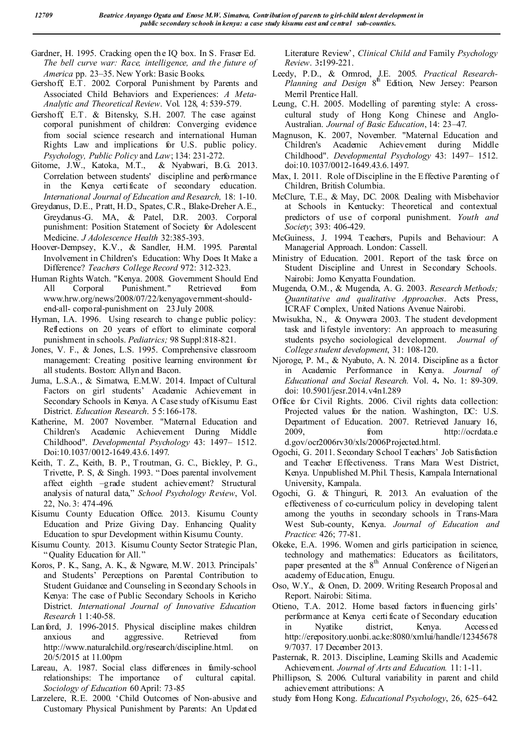- Gardner, H. 1995. Cracking open th e IQ box. In S. Fraser Ed. *The bell curve war: Race, intelligence, and the future of America* pp. 23–35. New York: Basic Books.
- Gershoff, E.T. 2002. Corporal Punishment by Parents and Associated Child Behaviors and Experiences: *A Meta-Analytic and Theoretical Review*. Vol. 128, 4: 539-579.
- Gershoff, E.T. & Bitensky, S.H. 2007. The case against corporal punishment of children: Converging evidence from social science research and international Human Rights Law and implications for U.S. public policy. *Psychology, Public Policy* and *Law*; 134: 231-272.
- Gitome, J.W., Katoka, M.T., & Nyabwari, B.G. 2013. Correlation between students' discipline and performance in the Kenya certificate of secondary education. *International Journal of Education and Research,* 18: 1-10.
- Greydanus, D.E., Pratt, H.D., Spates, C.R., Blake-Dreher A.E., Greydanus-G. MA, & Patel, D.R. 2003. Corporal punishment: Position Statement of Society for Adolescent Medicine. *J Adolescence Health* 32:385-393.
- Hoover-Dempsey, K.V., & Sandler, H.M. 1995. Parental Involvement in Children's Education: Why Does It Make a Difference? *Teachers College Record* 972: 312-323.
- Human Rights Watch. "Kenya. 2008. Government Should End All Corporal Punishment." Retrieved from www.hrw.org/news/2008/07/22/kenyagovernment-shouldend-all- corporal-punishment on 23 July 2008.
- Hyman, I.A. 1996. Using research to change public policy: Reflections on 20 years of effort to eliminate corporal punishment in schools. *Pediatrics;* 98 Suppl:818-821.
- Jones, V. F., & Jones, L.S. 1995. Comprehensive classroom management: Creating positive learning environment for all students. Boston: Allyn and Bacon.
- Juma, L.S.A., & Simatwa, E.M.W. 2014. Impact of Cultural Factors on girl students' Academic Achievement in Secondary Schools in Kenya. A Case study of Kisumu East District. *Education Research*. 5 5:166-178.
- Katherine, M. 2007 November. "Maternal Education and Children's Academic Achievement During Middle Childhood". *Developmental Psychology* 43: 1497– 1512. Doi:10.1037/0012-1649.43.6.1497.
- Keith, T. Z., Keith, B. P., T routman, G. C., Bickley, P. G., Trivette, P. S, & Singh. 1993. " Does parental involvement affect eighth –grade student achievement? Structural analysis of natural data," *School Psychology Review*, Vol. 22, No. 3: 474-496.
- Kisumu County Education Office. 2013. Kisumu County Education and Prize Giving Day. Enhancing Quality Education to spur Development within Kisumu County.
- Kisumu County. 2013. Kisumu County Sector Strategic Plan, " Quality Education for All."
- Koros, P. K., Sang, A. K., & Ngware, M.W. 2013. Principals' and Students' Perceptions on Parental Contribution to Student Guidance and Counseling in Secondary Schools in Kenya: The case of Public Secondary Schools in Kericho District. *International Journal of Innovative Education Research* 1 1:40-58.
- Lanford, J. 1996-2015. Physical discipline makes children anxious and aggressive. Retrieved from http://www.naturalchild.org/research/discipline.html. on 20/5/2015 at 11.00pm
- Lareau, A. 1987. Social class differences in family-school relationships: The importance of cultural capital. *Sociology of Education* 60 April: 73-85
- Larzelere, R.E. 2000. 'Child Outcomes of Non-abusive and Customary Physical Punishment by Parents: An Updated

Literature Review', *Clinical Child and* Family *Psychology Review*. 3**:**199-221.

- Leedy, P.D., & Ormrod, J.E. 2005. *Practical Research-*Planning and Design 8<sup>th</sup> Edition, New Jersey: Pearson Merril Prentice Hall.
- Leung, C.H. 2005. Modelling of parenting style: A crosscultural study of Hong Kong Chinese and Anglo-Australian. *Journal of Basic Education*, 14: 23–47.
- Magnuson, K. 2007, November. "Maternal Education and Children's Academic Achievement during Middle Childhood". *Developmental Psychology* 43: 1497– 1512. doi:10.1037/0012-1649.43.6.1497.
- Max, I. 2011. Role of Discipline in the Effective Parenting of Children, British Columbia.
- McClure, T.E., & May, DC. 2008. Dealing with Misbehavior at Schools in Kentucky: Theoretical and contextual predictors of use of corporal punishment. *Youth and Society*; 393: 406-429.
- McGuiness, J. 1994. Teachers, Pupils and Behaviour: A Managerial Approach. London: Cassell.
- Ministry of Education. 2001. Report of the task force on Student Discipline and Unrest in Secondary Schools. Nairobi: Jomo Kenyatta Foundation.
- Mugenda, O.M., & Mugenda, A. G. 2003. *Research Methods; Quantitative and qualitative Approaches*. Acts Press, ICRAF Complex, United Nations Avenue Nairobi.
- Mwisukha, N., & Onywera 2003. The student development task and li festyle inventory: An approach to measuring students psycho sociological development. *Journal of College student development*, 31: 108-120.
- Njoroge, P. M., & Nyabuto, A. N. 2014. Discipline as a factor in Academic Performance in Kenya. *Journal of Educational and Social Research.* Vol. 4**.** No. 1: 89-309. doi: 10.5901/jesr.2014.v4n1.289
- Office for Civil Rights. 2006. Civil rights data collection: Projected values for the nation. Washington, DC: U.S. Department of Education. 2007. Retrieved January 16, 2009, from http://ocrdata.e d.gov/ocr2006rv30/xls/2006Projected.html.
- Ogochi, G. 2011. Secondary School Teachers' Job Satisfaction and Teacher Effectiveness. Trans Mara West District, Kenya. Unpublished M.Phil. Thesis, Kampala International University, Kampala.
- Ogochi, G. & Thinguri, R. 2013. An evaluation of the effectiveness of co-curriculum policy in developing talent among the youths in secondary schools in Trans-Mara West Sub-county, Kenya. *Journal of Education and Practice:* 426; 77-81.
- Okeke, E.A. 1996. Women and girls participation in science, technology and mathematics: Educators as facilitators, paper presented at the  $8<sup>th</sup>$  Annual Conference of Nigerian academy of Education, Enugu.
- Oso, W.Y., & Onen, D. 2009. Writing Research Propos al and Report. Nairobi: Sitima.
- Otieno, T.A. 2012. Home based factors influencing girls' performance at Kenya certi ficate of Secondary education in Nyatike district, Kenya. Accessed http://erepository.uonbi.ac.ke:8080/xmlui/handle/12345678 9/7037. 17 December 2013.
- Pasternak, R. 2013. Discipline, Learning Skills and Academic Achievement. *Journal of Arts and Education.* 11: 1-11.
- Phillipson, S. 2006. Cultural variability in parent and child achievement attributions: A
- study from Hong Kong. *Educational Psychology*, 26, 625–642.